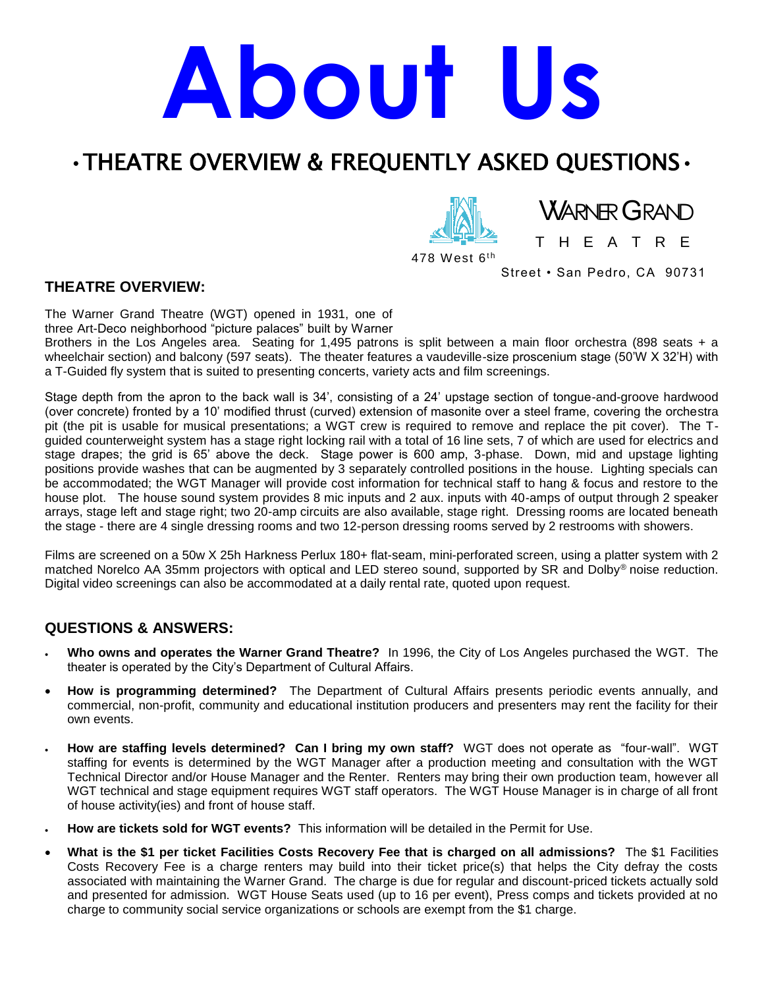# **About Us**

## •THEATRE OVERVIEW & FREQUENTLY ASKED QUESTIONS•

478 West 6<sup>th</sup>

T H E A T R E

**WARNER GRAND** 

Street • San Pedro, CA 90731

#### **THEATRE OVERVIEW:**

The Warner Grand Theatre (WGT) opened in 1931, one of

three Art-Deco neighborhood "picture palaces" built by Warner

Brothers in the Los Angeles area. Seating for 1,495 patrons is split between a main floor orchestra (898 seats + a wheelchair section) and balcony (597 seats). The theater features a vaudeville-size proscenium stage (50'W X 32'H) with a T-Guided fly system that is suited to presenting concerts, variety acts and film screenings.

Stage depth from the apron to the back wall is 34', consisting of a 24' upstage section of tongue-and-groove hardwood (over concrete) fronted by a 10' modified thrust (curved) extension of masonite over a steel frame, covering the orchestra pit (the pit is usable for musical presentations; a WGT crew is required to remove and replace the pit cover). The Tguided counterweight system has a stage right locking rail with a total of 16 line sets, 7 of which are used for electrics and stage drapes; the grid is 65' above the deck. Stage power is 600 amp, 3-phase. Down, mid and upstage lighting positions provide washes that can be augmented by 3 separately controlled positions in the house. Lighting specials can be accommodated; the WGT Manager will provide cost information for technical staff to hang & focus and restore to the house plot. The house sound system provides 8 mic inputs and 2 aux. inputs with 40-amps of output through 2 speaker arrays, stage left and stage right; two 20-amp circuits are also available, stage right. Dressing rooms are located beneath the stage - there are 4 single dressing rooms and two 12-person dressing rooms served by 2 restrooms with showers.

Films are screened on a 50w X 25h Harkness Perlux 180+ flat-seam, mini-perforated screen, using a platter system with 2 matched Norelco AA 35mm projectors with optical and LED stereo sound, supported by SR and Dolby® noise reduction. Digital video screenings can also be accommodated at a daily rental rate, quoted upon request.

## **QUESTIONS & ANSWERS:**

- **Who owns and operates the Warner Grand Theatre?** In 1996, the City of Los Angeles purchased the WGT. The theater is operated by the City's Department of Cultural Affairs.
- **How is programming determined?** The Department of Cultural Affairs presents periodic events annually, and commercial, non-profit, community and educational institution producers and presenters may rent the facility for their own events.
- **How are staffing levels determined? Can I bring my own staff?** WGT does not operate as "four-wall". WGT staffing for events is determined by the WGT Manager after a production meeting and consultation with the WGT Technical Director and/or House Manager and the Renter. Renters may bring their own production team, however all WGT technical and stage equipment requires WGT staff operators. The WGT House Manager is in charge of all front of house activity(ies) and front of house staff.
- **How are tickets sold for WGT events?** This information will be detailed in the Permit for Use.
- **What is the \$1 per ticket Facilities Costs Recovery Fee that is charged on all admissions?** The \$1 Facilities Costs Recovery Fee is a charge renters may build into their ticket price(s) that helps the City defray the costs associated with maintaining the Warner Grand. The charge is due for regular and discount-priced tickets actually sold and presented for admission. WGT House Seats used (up to 16 per event), Press comps and tickets provided at no charge to community social service organizations or schools are exempt from the \$1 charge.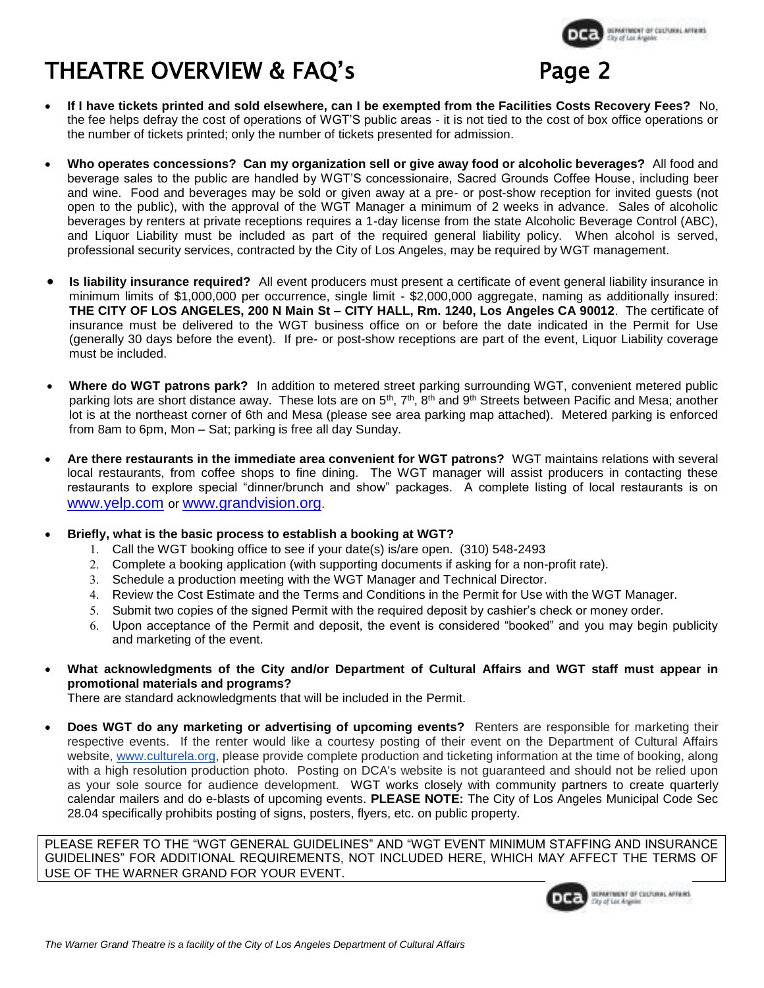

# THEATRE OVERVIEW & FAQ's

- **If I have tickets printed and sold elsewhere, can I be exempted from the Facilities Costs Recovery Fees?** No, the fee helps defray the cost of operations of WGT'S public areas - it is not tied to the cost of box office operations or the number of tickets printed; only the number of tickets presented for admission.
- **Who operates concessions? Can my organization sell or give away food or alcoholic beverages?** All food and beverage sales to the public are handled by WGT'S concessionaire, Sacred Grounds Coffee House, including beer and wine. Food and beverages may be sold or given away at a pre- or post-show reception for invited guests (not open to the public), with the approval of the WGT Manager a minimum of 2 weeks in advance. Sales of alcoholic beverages by renters at private receptions requires a 1-day license from the state Alcoholic Beverage Control (ABC), and Liquor Liability must be included as part of the required general liability policy. When alcohol is served, professional security services, contracted by the City of Los Angeles, may be required by WGT management.
- **Is liability insurance required?** All event producers must present a certificate of event general liability insurance in minimum limits of \$1,000,000 per occurrence, single limit - \$2,000,000 aggregate, naming as additionally insured: **THE CITY OF LOS ANGELES, 200 N Main St – CITY HALL, Rm. 1240, Los Angeles CA 90012**. The certificate of insurance must be delivered to the WGT business office on or before the date indicated in the Permit for Use (generally 30 days before the event). If pre- or post-show receptions are part of the event, Liquor Liability coverage must be included.
- **Where do WGT patrons park?** In addition to metered street parking surrounding WGT, convenient metered public parking lots are short distance away. These lots are on  $5<sup>th</sup>$ ,  $7<sup>th</sup>$ ,  $8<sup>th</sup>$  and  $9<sup>th</sup>$  Streets between Pacific and Mesa; another lot is at the northeast corner of 6th and Mesa (please see area parking map attached). Metered parking is enforced from 8am to 6pm, Mon – Sat; parking is free all day Sunday.
- **Are there restaurants in the immediate area convenient for WGT patrons?** WGT maintains relations with several local restaurants, from coffee shops to fine dining. The WGT manager will assist producers in contacting these restaurants to explore special "dinner/brunch and show" packages. A complete listing of local restaurants is on [www.yelp.com](http://www.yelp.com/) or [www.grandvision.org](http://www.grandvision.org/).
- **Briefly, what is the basic process to establish a booking at WGT?**
	- Call the WGT booking office to see if your date(s) is/are open. (310) 548-2493
	- Complete a booking application (with supporting documents if asking for a non-profit rate).
	- 3. Schedule a production meeting with the WGT Manager and Technical Director.
	- 4. Review the Cost Estimate and the Terms and Conditions in the Permit for Use with the WGT Manager.
	- 5. Submit two copies of the signed Permit with the required deposit by cashier's check or money order.
	- Upon acceptance of the Permit and deposit, the event is considered "booked" and you may begin publicity and marketing of the event.
- **What acknowledgments of the City and/or Department of Cultural Affairs and WGT staff must appear in promotional materials and programs?**

There are standard acknowledgments that will be included in the Permit.

 **Does WGT do any marketing or advertising of upcoming events?** Renters are responsible for marketing their respective events. If the renter would like a courtesy posting of their event on the Department of Cultural Affairs website, [www.culturela.org,](http://www.culturela.org/) please provide complete production and ticketing information at the time of booking, along with a high resolution production photo. Posting on DCA's website is not guaranteed and should not be relied upon as your sole source for audience development. WGT works closely with community partners to create quarterly calendar mailers and do e-blasts of upcoming events. **PLEASE NOTE:** The City of Los Angeles Municipal Code Sec 28.04 specifically prohibits posting of signs, posters, flyers, etc. on public property.

PLEASE REFER TO THE "WGT GENERAL GUIDELINES" AND "WGT EVENT MINIMUM STAFFING AND INSURANCE GUIDELINES" FOR ADDITIONAL REQUIREMENTS, NOT INCLUDED HERE, WHICH MAY AFFECT THE TERMS OF USE OF THE WARNER GRAND FOR YOUR EVENT.

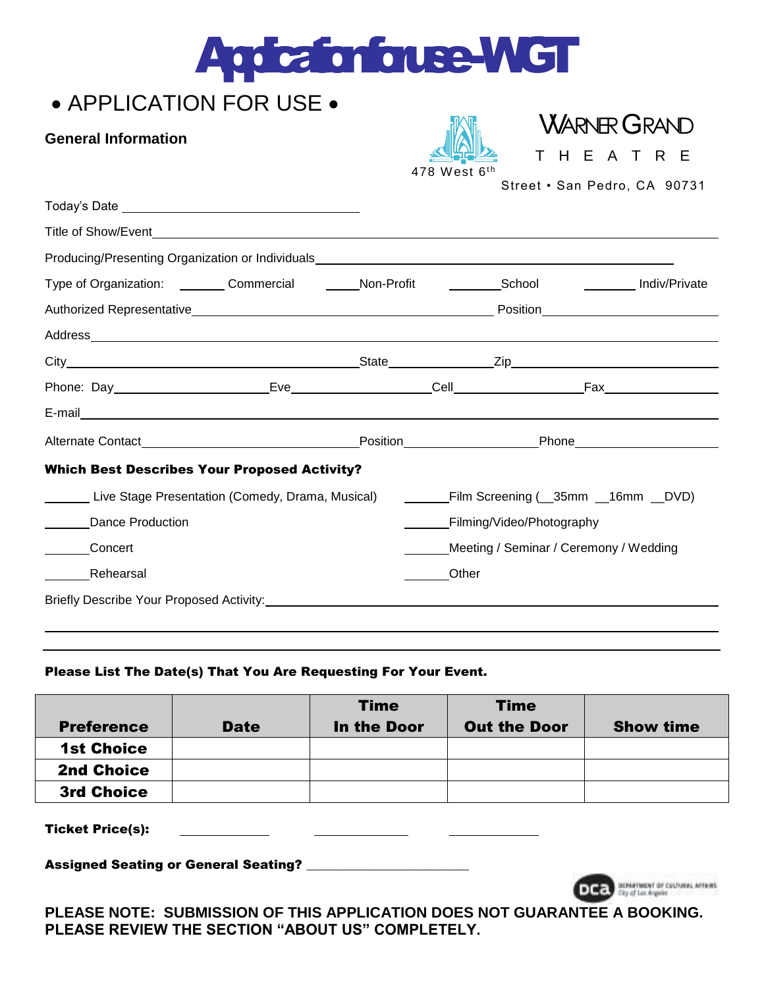|  | <b>Application for use WGT</b> |
|--|--------------------------------|
|  |                                |

## • APPLICATION FOR USE •

### **General Information**

| Ά<br>ال                                                |  |
|--------------------------------------------------------|--|
| $\mathsf{C}_{\mathsf{t}}$<br>$101 - 1$<br>$\mathbf{C}$ |  |

**VARNER GRAND** H E A T R E

478 West  $6^{\rm th}$ 

Street • San Pedro, CA 90731

| Producing/Presenting Organization or Individuals_________________________________                             |  |                           |                                                                            |
|---------------------------------------------------------------------------------------------------------------|--|---------------------------|----------------------------------------------------------------------------|
| Type of Organization: _________ Commercial ________ Non-Profit ____________School _____________ Indiv/Private |  |                           |                                                                            |
|                                                                                                               |  |                           |                                                                            |
|                                                                                                               |  |                           |                                                                            |
|                                                                                                               |  |                           |                                                                            |
|                                                                                                               |  |                           |                                                                            |
|                                                                                                               |  |                           |                                                                            |
|                                                                                                               |  |                           | _Position_______________________________Phone_____________________________ |
| <b>Which Best Describes Your Proposed Activity?</b>                                                           |  |                           |                                                                            |
| Live Stage Presentation (Comedy, Drama, Musical)                                                              |  |                           |                                                                            |
| <b>Dance Production</b>                                                                                       |  | Filming/Video/Photography |                                                                            |
| Concert                                                                                                       |  |                           | Meeting / Seminar / Ceremony / Wedding                                     |
| Rehearsal                                                                                                     |  | Other                     |                                                                            |
|                                                                                                               |  |                           |                                                                            |
|                                                                                                               |  |                           |                                                                            |

#### Please List The Date(s) That You Are Requesting For Your Event.

| <b>Preference</b> | <b>Date</b> | <b>Time</b><br>In the Door | <b>Time</b><br><b>Out the Door</b> | <b>Show time</b> |
|-------------------|-------------|----------------------------|------------------------------------|------------------|
| <b>1st Choice</b> |             |                            |                                    |                  |
| <b>2nd Choice</b> |             |                            |                                    |                  |
| <b>3rd Choice</b> |             |                            |                                    |                  |

Ticket Price(s):

Assigned Seating or General Seating? \_\_\_



**PLEASE NOTE: SUBMISSION OF THIS APPLICATION DOES NOT GUARANTEE A BOOKING. PLEASE REVIEW THE SECTION "ABOUT US" COMPLETELY.**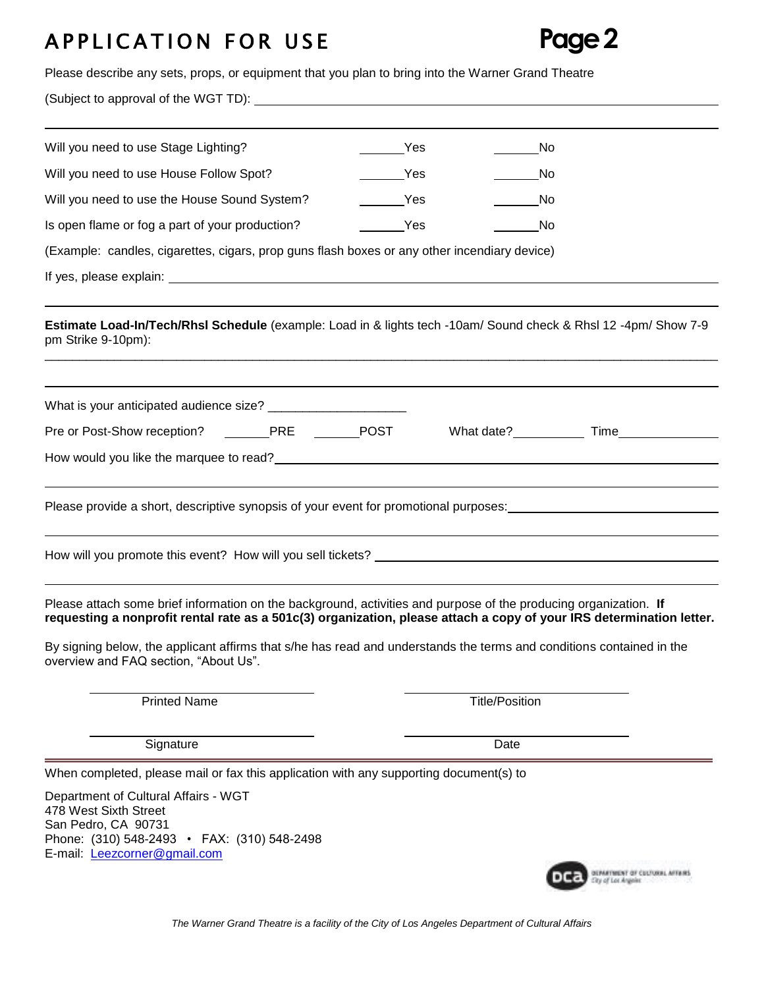## A P P LICATION FOR USE Page 2

| Please describe any sets, props, or equipment that you plan to bring into the Warner Grand Theatre                                                                                                                                                                                                                                                                                                        |                   |                       |                                |
|-----------------------------------------------------------------------------------------------------------------------------------------------------------------------------------------------------------------------------------------------------------------------------------------------------------------------------------------------------------------------------------------------------------|-------------------|-----------------------|--------------------------------|
|                                                                                                                                                                                                                                                                                                                                                                                                           |                   |                       |                                |
| Will you need to use Stage Lighting?                                                                                                                                                                                                                                                                                                                                                                      | Yes               | No.                   |                                |
| Will you need to use House Follow Spot?                                                                                                                                                                                                                                                                                                                                                                   | Yes               | No                    |                                |
| Will you need to use the House Sound System?                                                                                                                                                                                                                                                                                                                                                              | <b>Example ST</b> | No                    |                                |
| Is open flame or fog a part of your production?                                                                                                                                                                                                                                                                                                                                                           | <b>Example ST</b> | No                    |                                |
| (Example: candles, cigarettes, cigars, prop guns flash boxes or any other incendiary device)                                                                                                                                                                                                                                                                                                              |                   |                       |                                |
|                                                                                                                                                                                                                                                                                                                                                                                                           |                   |                       |                                |
| Estimate Load-In/Tech/Rhsl Schedule (example: Load in & lights tech -10am/ Sound check & Rhsl 12 -4pm/ Show 7-9<br>pm Strike 9-10pm):                                                                                                                                                                                                                                                                     |                   |                       |                                |
|                                                                                                                                                                                                                                                                                                                                                                                                           |                   |                       |                                |
| Pre or Post-Show reception? _______PRE _______POST                                                                                                                                                                                                                                                                                                                                                        |                   |                       | What date?______________Time__ |
| How would you like the marquee to read? <u>example and the set of the set of the set of the set of the set of the set of the set of the set of the set of the set of the set of the set of the set of the set of the set of the </u>                                                                                                                                                                      |                   |                       |                                |
|                                                                                                                                                                                                                                                                                                                                                                                                           |                   |                       |                                |
| Please provide a short, descriptive synopsis of your event for promotional purposes:                                                                                                                                                                                                                                                                                                                      |                   |                       |                                |
|                                                                                                                                                                                                                                                                                                                                                                                                           |                   |                       |                                |
|                                                                                                                                                                                                                                                                                                                                                                                                           |                   |                       |                                |
| Please attach some brief information on the background, activities and purpose of the producing organization. If<br>requesting a nonprofit rental rate as a 501c(3) organization, please attach a copy of your IRS determination letter.<br>By signing below, the applicant affirms that s/he has read and understands the terms and conditions contained in the<br>overview and FAQ section, "About Us". |                   |                       |                                |
| <b>Printed Name</b>                                                                                                                                                                                                                                                                                                                                                                                       |                   | <b>Title/Position</b> |                                |
| Signature                                                                                                                                                                                                                                                                                                                                                                                                 |                   | Date                  |                                |
| When completed, please mail or fax this application with any supporting document(s) to                                                                                                                                                                                                                                                                                                                    |                   |                       |                                |
| Department of Cultural Affairs - WGT<br>478 West Sixth Street<br>San Pedro, CA 90731<br>Phone: (310) 548-2493 • FAX: (310) 548-2498<br>E-mail: Leezcorner@gmail.com                                                                                                                                                                                                                                       |                   |                       |                                |
|                                                                                                                                                                                                                                                                                                                                                                                                           |                   |                       |                                |

*The Warner Grand Theatre is a facility of the City of Los Angeles Department of Cultural Affairs*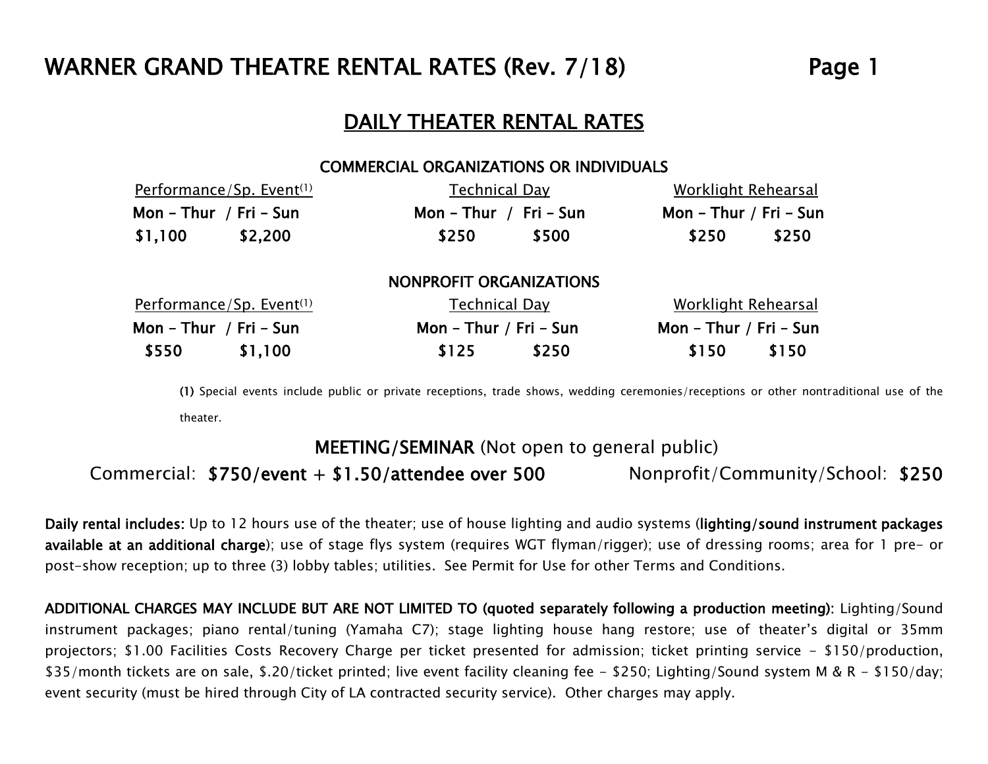## WARNER GRAND THEATRE RENTAL RATES (Rev. 7/18) Page 1

## DAILY THEATER RENTAL RATES

#### COMMERCIAL ORGANIZATIONS OR INDIVIDUALS

| Performance/Sp. Event <sup>(1)</sup> | Technical Day           | Worklight Rehearsal    |  |  |  |
|--------------------------------------|-------------------------|------------------------|--|--|--|
| Mon - Thur / Fri - Sun               | Mon - Thur / Fri - Sun  | Mon - Thur / Fri - Sun |  |  |  |
| \$2,200<br>\$1,100                   | \$500<br>\$250          | \$250<br>\$250         |  |  |  |
|                                      | NONPROFIT ORGANIZATIONS |                        |  |  |  |
| Performance/Sp. Event <sup>(1)</sup> | Technical Day           | Worklight Rehearsal    |  |  |  |
| Mon - Thur / Fri - Sun               | Mon - Thur / Fri - Sun  | Mon - Thur / Fri - Sun |  |  |  |
| \$550<br>\$1,100                     | \$250<br>\$125          | \$150<br>\$150         |  |  |  |

(1) Special events include public or private receptions, trade shows, wedding ceremonies/receptions or other nontraditional use of the theater.

## MEETING/SEMINAR (Not open to general public)

Commercial: \$750/event + \$1.50/attendee over 500 Nonprofit/Community/School: \$250

Daily rental includes: Up to 12 hours use of the theater; use of house lighting and audio systems (lighting/sound instrument packages available at an additional charge); use of stage flys system (requires WGT flyman/rigger); use of dressing rooms; area for 1 pre- or post-show reception; up to three (3) lobby tables; utilities. See Permit for Use for other Terms and Conditions.

ADDITIONAL CHARGES MAY INCLUDE BUT ARE NOT LIMITED TO (quoted separately following a production meeting): Lighting/Sound instrument packages; piano rental/tuning (Yamaha C7); stage lighting house hang restore; use of theater's digital or 35mm projectors; \$1.00 Facilities Costs Recovery Charge per ticket presented for admission; ticket printing service - \$150/production, \$35/month tickets are on sale, \$.20/ticket printed; live event facility cleaning fee - \$250; Lighting/Sound system M & R - \$150/day; event security (must be hired through City of LA contracted security service). Other charges may apply.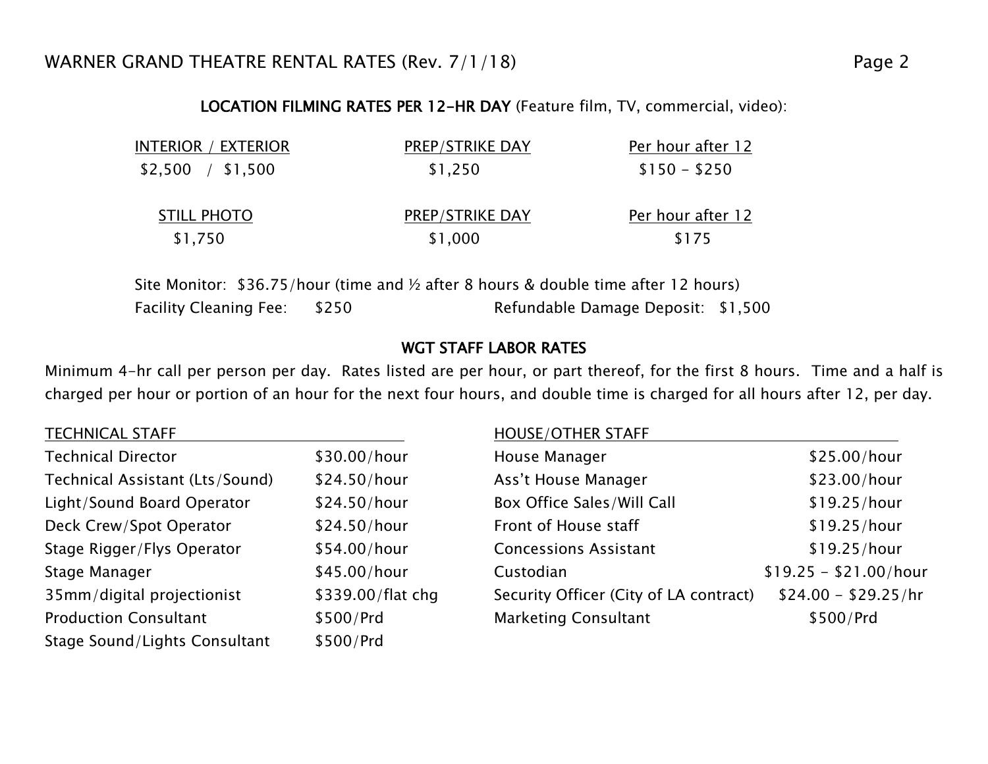## LOCATION FILMING RATES PER 12-HR DAY (Feature film, TV, commercial, video):

| INTERIOR / EXTERIOR           | <b>PREP/STRIKE DAY</b>            | Per hour after 12          |
|-------------------------------|-----------------------------------|----------------------------|
| $$2,500$ / $$1,500$           | \$1,250                           | $$150 - $250$              |
| <b>STILL PHOTO</b><br>\$1,750 | <b>PREP/STRIKE DAY</b><br>\$1,000 | Per hour after 12<br>\$175 |
|                               |                                   |                            |

Site Monitor: \$36.75/hour (time and ½ after 8 hours & double time after 12 hours) Facility Cleaning Fee:  $$250$  Refundable Damage Deposit:  $$1,500$ 

## WGT STAFF LABOR RATES

Minimum 4-hr call per person per day. Rates listed are per hour, or part thereof, for the first 8 hours. Time and a half is charged per hour or portion of an hour for the next four hours, and double time is charged for all hours after 12, per day.

| <b>TECHNICAL STAFF</b>          |                   | <b>HOUSE/OTHER STAFF</b>               |                        |
|---------------------------------|-------------------|----------------------------------------|------------------------|
| <b>Technical Director</b>       | \$30.00/hour      | House Manager                          | \$25.00/hour           |
| Technical Assistant (Lts/Sound) | \$24.50/hour      | Ass't House Manager                    | \$23.00/hour           |
| Light/Sound Board Operator      | \$24.50/hour      | Box Office Sales/Will Call             | \$19.25/hour           |
| Deck Crew/Spot Operator         | \$24.50/hour      | Front of House staff                   | \$19.25/hour           |
| Stage Rigger/Flys Operator      | \$54.00/hour      | <b>Concessions Assistant</b>           | \$19.25/hour           |
| Stage Manager                   | \$45.00/hour      | Custodian                              | $$19.25 - $21.00/hour$ |
| 35mm/digital projectionist      | \$339.00/flat chg | Security Officer (City of LA contract) | $$24.00 - $29.25/hr$   |
| <b>Production Consultant</b>    | \$500/Prd         | <b>Marketing Consultant</b>            | \$500/Prd              |
| Stage Sound/Lights Consultant   | \$500/Prd         |                                        |                        |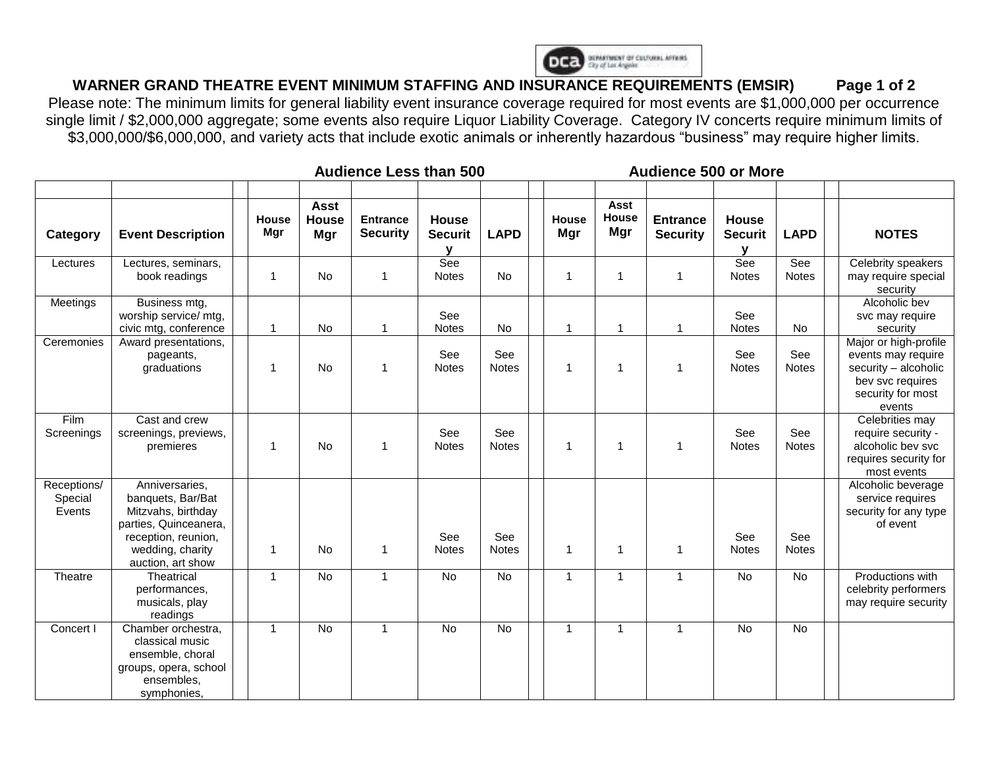

## **WARNER GRAND THEATRE EVENT MINIMUM STAFFING AND INSURANCE REQUIREMENTS (EMSIR) Page 1 of 2**

Please note: The minimum limits for general liability event insurance coverage required for most events are \$1,000,000 per occurrence single limit / \$2,000,000 aggregate; some events also require Liquor Liability Coverage. Category IV concerts require minimum limits of \$3,000,000/\$6,000,000, and variety acts that include exotic animals or inherently hazardous "business" may require higher limits.

|                                  |                                                                                                                                                    | <b>Audience Less than 500</b> |              |                                    |                                    |                         |                     | <b>Audience 500 or More</b> |                |                      |                                    |                                |                     |                                                                                                                        |
|----------------------------------|----------------------------------------------------------------------------------------------------------------------------------------------------|-------------------------------|--------------|------------------------------------|------------------------------------|-------------------------|---------------------|-----------------------------|----------------|----------------------|------------------------------------|--------------------------------|---------------------|------------------------------------------------------------------------------------------------------------------------|
| Category                         | <b>Event Description</b>                                                                                                                           |                               | House<br>Mgr | <b>Asst</b><br><b>House</b><br>Mgr | <b>Entrance</b><br><b>Security</b> | House<br><b>Securit</b> | <b>LAPD</b>         |                             | House<br>Mgr   | Asst<br>House<br>Mgr | <b>Entrance</b><br><b>Security</b> | <b>House</b><br><b>Securit</b> | <b>LAPD</b>         | <b>NOTES</b>                                                                                                           |
| Lectures                         | Lectures, seminars,<br>book readings                                                                                                               |                               | 1            | No                                 | $\mathbf 1$                        | See<br><b>Notes</b>     | No                  |                             | $\mathbf{1}$   | 1                    | $\mathbf{1}$                       | See<br><b>Notes</b>            | See<br><b>Notes</b> | Celebrity speakers<br>may require special<br>security                                                                  |
| Meetings                         | Business mtg,<br>worship service/ mtg,<br>civic mtg, conference                                                                                    |                               |              | No                                 | 1                                  | See<br>Notes            | No                  |                             | $\overline{1}$ | $\overline{1}$       | 1                                  | See<br><b>Notes</b>            | No                  | Alcoholic bev<br>svc may require<br>security                                                                           |
| Ceremonies                       | Award presentations,<br>pageants,<br>graduations                                                                                                   |                               | 1            | No                                 | $\mathbf 1$                        | See<br>Notes            | See<br><b>Notes</b> |                             | $\overline{1}$ | 1                    | 1                                  | See<br>Notes                   | See<br>Notes        | Major or high-profile<br>events may require<br>security - alcoholic<br>bev svc requires<br>security for most<br>events |
| Film<br>Screenings               | Cast and crew<br>screenings, previews,<br>premieres                                                                                                |                               | 1            | No                                 | $\mathbf{1}$                       | See<br><b>Notes</b>     | See<br><b>Notes</b> |                             | 1              | -1                   | 1                                  | See<br><b>Notes</b>            | See<br><b>Notes</b> | Celebrities may<br>require security -<br>alcoholic bev svc<br>requires security for<br>most events                     |
| Receptions/<br>Special<br>Events | Anniversaries,<br>banquets, Bar/Bat<br>Mitzvahs, birthday<br>parties, Quinceanera,<br>reception, reunion,<br>wedding, charity<br>auction, art show |                               | 1            | <b>No</b>                          | $\overline{1}$                     | See<br><b>Notes</b>     | See<br><b>Notes</b> |                             | $\mathbf{1}$   | 1                    | $\mathbf{1}$                       | See<br><b>Notes</b>            | See<br><b>Notes</b> | Alcoholic beverage<br>service requires<br>security for any type<br>of event                                            |
| Theatre                          | Theatrical<br>performances,<br>musicals, play<br>readings                                                                                          |                               | $\mathbf{1}$ | No                                 | $\mathbf{1}$                       | No                      | No                  |                             | $\mathbf{1}$   | $\mathbf{1}$         | $\mathbf{1}$                       | No                             | No                  | Productions with<br>celebrity performers<br>may require security                                                       |
| Concert I                        | Chamber orchestra,<br>classical music<br>ensemble, choral<br>groups, opera, school<br>ensembles,<br>symphonies,                                    |                               | $\mathbf{1}$ | $\overline{N}$                     | $\overline{1}$                     | <b>No</b>               | <b>No</b>           |                             | $\mathbf{1}$   | $\mathbf{1}$         | $\mathbf{1}$                       | <b>No</b>                      | <b>No</b>           |                                                                                                                        |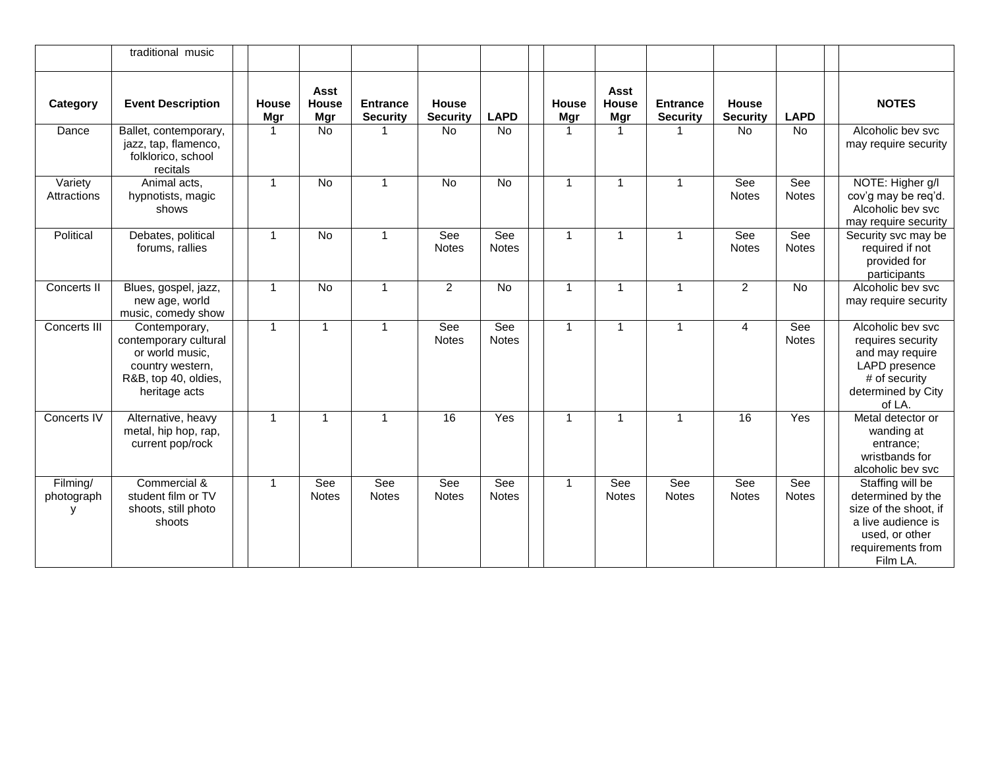|                             | traditional music                                                                                                      |                     |                                    |                                    |                                 |                     |                            |                             |                                    |                          |                     |                                                                                                                                         |
|-----------------------------|------------------------------------------------------------------------------------------------------------------------|---------------------|------------------------------------|------------------------------------|---------------------------------|---------------------|----------------------------|-----------------------------|------------------------------------|--------------------------|---------------------|-----------------------------------------------------------------------------------------------------------------------------------------|
| Category                    | <b>Event Description</b>                                                                                               | <b>House</b><br>Mgr | <b>Asst</b><br><b>House</b><br>Mgr | <b>Entrance</b><br><b>Security</b> | <b>House</b><br><b>Security</b> | <b>LAPD</b>         | <b>House</b><br><b>Mgr</b> | <b>Asst</b><br>House<br>Mgr | <b>Entrance</b><br><b>Security</b> | House<br><b>Security</b> | <b>LAPD</b>         | <b>NOTES</b>                                                                                                                            |
| Dance                       | Ballet, contemporary,<br>jazz, tap, flamenco,<br>folklorico, school<br>recitals                                        | $\overline{1}$      | <b>No</b>                          |                                    | <b>No</b>                       | <b>No</b>           | $\overline{1}$             | 1                           | 1                                  | <b>No</b>                | <b>No</b>           | Alcoholic bev svc<br>may require security                                                                                               |
| Variety<br>Attractions      | Animal acts,<br>hypnotists, magic<br>shows                                                                             | $\mathbf{1}$        | No                                 | $\mathbf{1}$                       | No                              | No                  | $\overline{1}$             | $\mathbf{1}$                | $\mathbf{1}$                       | See<br><b>Notes</b>      | See<br>Notes        | NOTE: Higher g/l<br>cov'g may be req'd.<br>Alcoholic bev svc<br>may require security                                                    |
| Political                   | Debates, political<br>forums, rallies                                                                                  | $\overline{1}$      | <b>No</b>                          | $\overline{1}$                     | See<br><b>Notes</b>             | See<br><b>Notes</b> | $\overline{1}$             | $\mathbf{1}$                | $\mathbf{1}$                       | See<br><b>Notes</b>      | See<br><b>Notes</b> | Security svc may be<br>required if not<br>provided for<br>participants                                                                  |
| Concerts II                 | Blues, gospel, jazz,<br>new age, world<br>music, comedy show                                                           | $\overline{1}$      | $\overline{N}$                     | $\mathbf{1}$                       | $\overline{2}$                  | No                  | $\overline{1}$             | $\mathbf{1}$                | $\overline{1}$                     | $\overline{2}$           | No                  | Alcoholic bev svc<br>may require security                                                                                               |
| Concerts III                | Contemporary,<br>contemporary cultural<br>or world music,<br>country western,<br>R&B, top 40, oldies,<br>heritage acts | $\mathbf{1}$        | $\mathbf{1}$                       | $\overline{1}$                     | See<br><b>Notes</b>             | See<br><b>Notes</b> | $\overline{1}$             | 1                           | $\mathbf{1}$                       | 4                        | See<br><b>Notes</b> | Alcoholic bev svc<br>requires security<br>and may require<br>LAPD presence<br># of security<br>determined by City<br>of LA.             |
| Concerts IV                 | Alternative, heavy<br>metal, hip hop, rap,<br>current pop/rock                                                         | $\mathbf{1}$        | $\mathbf{1}$                       | $\overline{1}$                     | $\overline{16}$                 | Yes                 | $\mathbf{1}$               | $\mathbf{1}$                | $\mathbf{1}$                       | $\overline{16}$          | Yes                 | Metal detector or<br>wanding at<br>entrance;<br>wristbands for<br>alcoholic bev svc                                                     |
| Filming/<br>photograph<br>y | Commercial &<br>student film or TV<br>shoots, still photo<br>shoots                                                    | $\mathbf{1}$        | See<br><b>Notes</b>                | See<br><b>Notes</b>                | See<br><b>Notes</b>             | See<br><b>Notes</b> | $\mathbf{1}$               | See<br><b>Notes</b>         | See<br><b>Notes</b>                | See<br><b>Notes</b>      | See<br><b>Notes</b> | Staffing will be<br>determined by the<br>size of the shoot, if<br>a live audience is<br>used, or other<br>requirements from<br>Film LA. |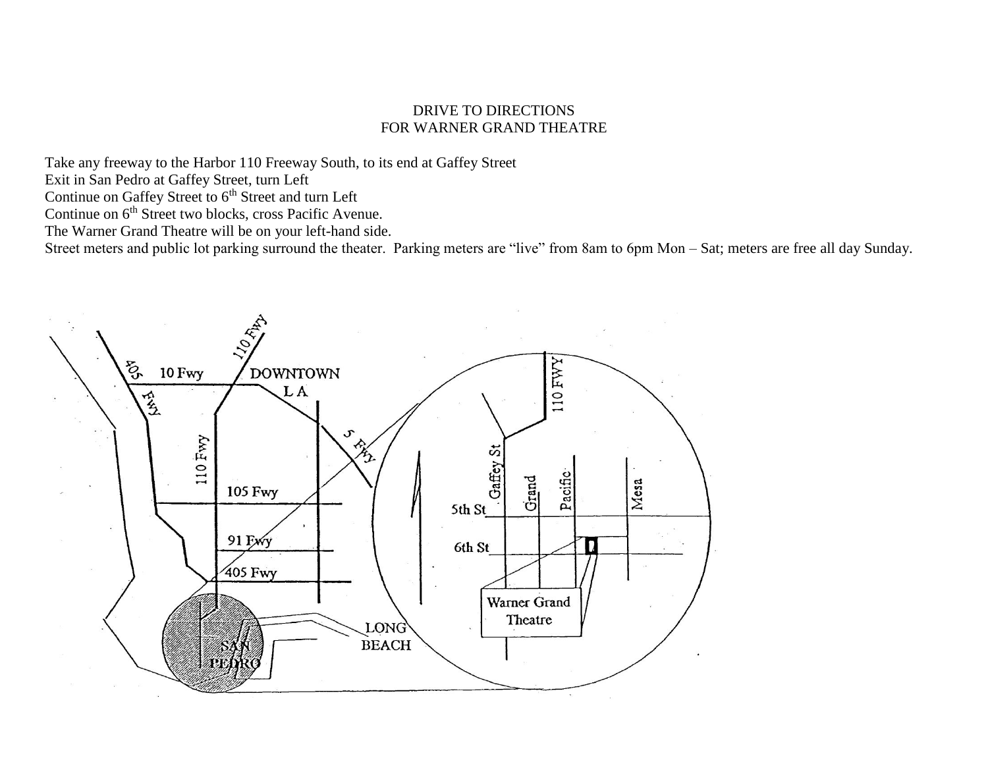#### DRIVE TO DIRECTIONS FOR WARNER GRAND THEATRE

Take any freeway to the Harbor 110 Freeway South, to its end at Gaffey Street

Exit in San Pedro at Gaffey Street, turn Left

Continue on Gaffey Street to 6<sup>th</sup> Street and turn Left

Continue on 6<sup>th</sup> Street two blocks, cross Pacific Avenue.

The Warner Grand Theatre will be on your left-hand side.

Street meters and public lot parking surround the theater. Parking meters are "live" from 8am to 6pm Mon – Sat; meters are free all day Sunday.

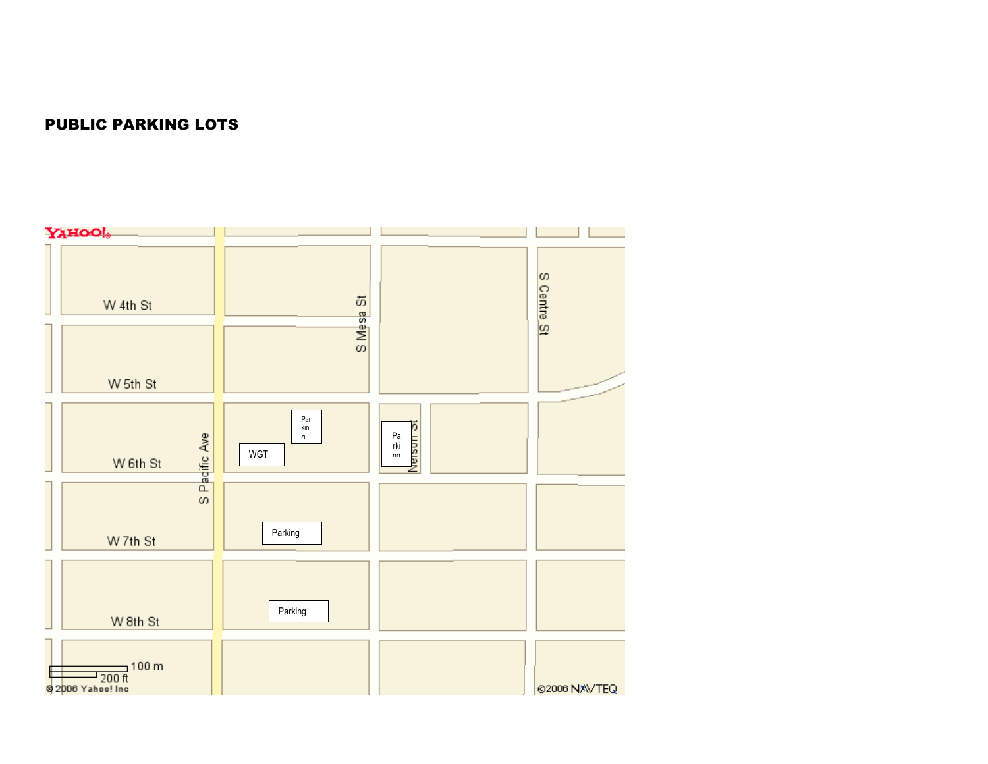## PUBLIC PARKING LOTS